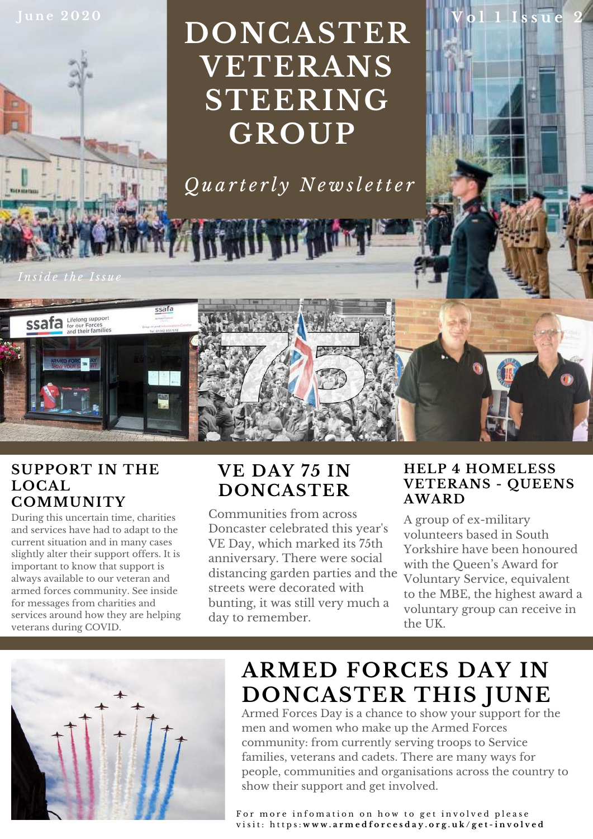

# **DONCASTER VETERANS STEERING GROUP**

*Q u a r t e r l y N e w sl e tt e r*

*I n si d e t h e I ss u e*

no meno



#### **SUPPORT IN THE LOCAL COMMUNITY**

During this uncertain time, charities and services have had to adapt to the current situation and in many cases slightly alter their support offers. It is important to know that support is always available to our veteran and armed forces community. See inside for messages from charities and services around how they are helping veterans during COVID.

# **VE DAY 75 IN DONCASTER**

Communities from across Doncaster celebrated this year ' s VE Day, which marked its 75th anniversary. There were social distancing garden parties and the streets were decorated with bunting, it was still very much a day to remember.

#### **HELP 4 HOMELESS VETERANS - QUEENS AWARD**

**V o l 1 I s s u e 2**

A group of ex-military volunteers based in South Yorkshire have been honoured with the Queen ' s Award for Voluntary Service, equivalent to the MBE, the highest award a voluntary group can receive in the UK.



# **ARMED FORCES DAY IN DONCASTER THIS JUNE**

Armed Forces Day is a chance to show your support for the men and women who make up the Armed Forces community: from currently serving troops to Service families, veterans and cadets. There are many ways for people, communities and organisations across the country to show their support and get involved.

For more infomation on how to get involved please visit: https:www.armedforcesday.org.uk/get-involved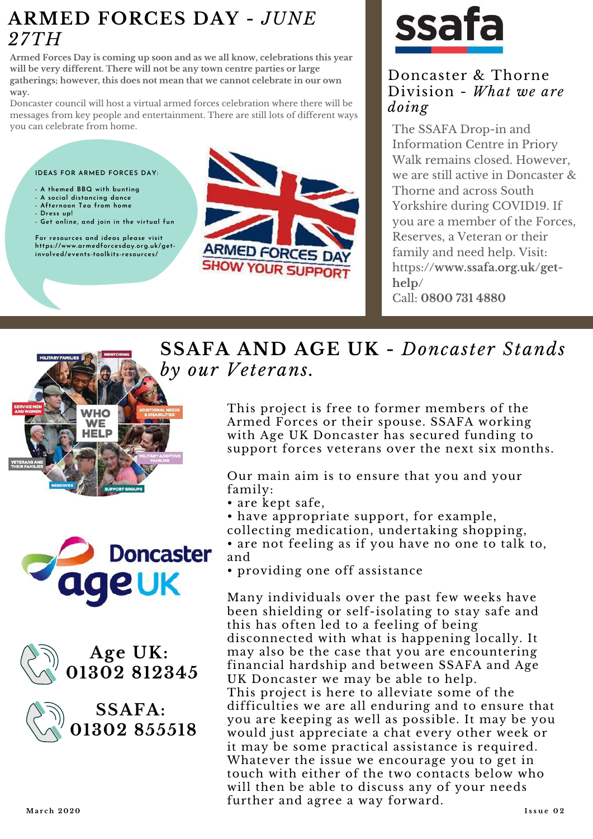## **ARMED FORCES DAY -** *JUNE 27TH*

**Armed Forces Day is coming up soon and as we all know, celebrations this year will be very different. There will not be any town centre parties or large gatherings; however, this does not mean that we cannot celebrate in our own way.**

Doncaster council will host a virtual armed forces celebration where there will be messages from key people and entertainment. There are still lots of different ways you can celebrate from home.

#### **IDEAS FOR ARMED FORCES DAY:**

- **- A themed BBQ with bunting**
- **- A social distancing dance - Afternoon Tea from home**
- **- Dress up!**
- **- Get online, and join in the virtual fun**

**For resources and ideas please visit https://www.armedforcesday.org.uk/getinvolved/events-toolkits-resources/**



# **ssa**

#### Doncaster & Thorne Division - *What we are doing*

The SSAFA Drop-in and Information Centre in Priory Walk remains closed. However, we are still active in Doncaster & Thorne and across South Yorkshire during COVID19. If you are a member of the Forces, Reserves, a Veteran or their family and need help. Visit: https:**//www.ssafa.org.uk/gethelp/** Call: **0800 731 4880**









**SSAFA AND AGE UK -** *Doncaster Stands by our Veterans.*

> This project is free to former members of the Armed Forces or their spouse. SSAFA working with Age UK Doncaster has secured funding to support forces veterans over the next six months.

Our main aim is to ensure that you and your family:

• are kept safe,

• have appropriate support, for example, collecting medication, undertaking shopping, • are not feeling as if you have no one to talk to, and

• providing one off assistance

Many individuals over the past few weeks have been shielding or self-isolating to stay safe and this has often led to a feeling of being disconnected with what is happening locally. It may also be the case that you are encountering financial hardship and between SSAFA and Age UK Doncaster we may be able to help. This project is here to alleviate some of the difficulties we are all enduring and to ensure that you are keeping as well as possible. It may be you would just appreciate a chat every other week or it may be some practical assistance is required. Whatever the issue we encourage you to get in touch with either of the two contacts below who will then be able to discuss any of your needs further and agree a way forward.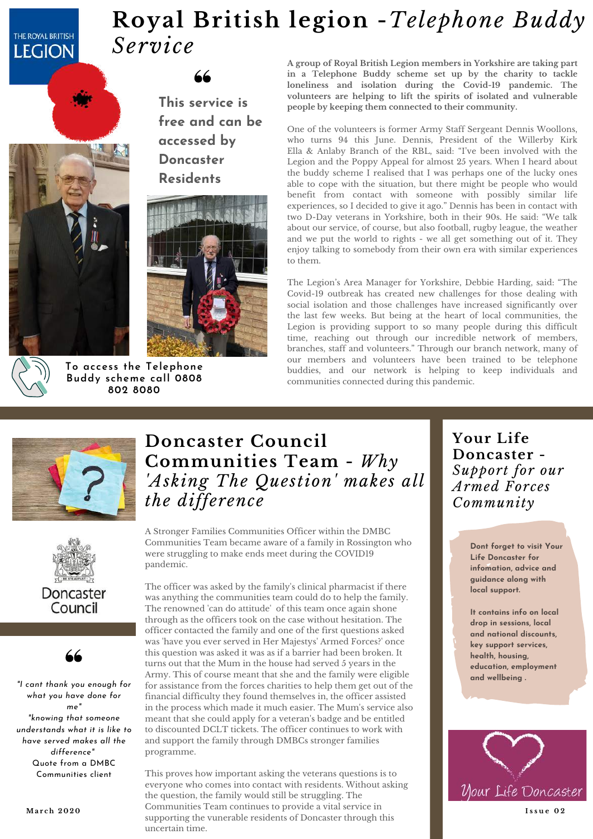#### THE ROYAL BRITISH **LEGION**

# **Royal British legion -***Telephone Buddy Service*

**This service is free and can be accessed by Doncaster Residents**





**To access the Telephone Buddy scheme call 0808 802 8080**

**A group of Royal British Legion members in Yorkshire are taking part in a Telephone Buddy scheme set up by the charity to tackle loneliness and isolation during the Covid-19 pandemic. The volunteers are helping to lift the spirits of isolated and vulnerable people by keeping them connected to their community.**

One of the volunteers is former Army Staff Sergeant Dennis Woollons, who turns 94 this June. Dennis, President of the Willerby Kirk Ella & Anlaby Branch of the RBL, said: "I' ve been involved with the Legion and the Poppy Appeal for almost 25 years. When I heard about the buddy scheme I realised that I was perhaps one of the lucky ones able to cope with the situation, but there might be people who would benefit from contact with someone with possibly similar life experiences, so I decided to give it ago." Dennis has been in contact with two D-Day veterans in Yorkshire, both in their 90s. He said: "We talk about our service, of course, but also football, rugby league, the weather and we put the world to rights - we all get something out of it. They enjoy talking to somebody from their own era with similar experiences to them.

The Legion ' s Area Manager for Yorkshire, Debbie Harding, said: "The Covid-19 outbreak has created new challenges for those dealing with social isolation and those challenges have increased significantly over the last few weeks. But being at the heart of local communities, the Legion is providing support to so many people during this difficult time, reaching out through our incredible network of members, branches, staff and volunteers." Through our branch network, many of our members and volunteers have been trained to be telephone buddies, and our network is helping to keep individuals and communities connected during this pandemic.







*"I cant thank you enough for what you have done for me" "knowing that someone understands what it is like to have served makes all the difference"* Quote from a DMBC Communities client

#### **Doncaster Council Communities Team -***Why 'Asking The Question ' makes all the difference*

A Stronger Families Communities Officer within the DMBC Communities Team became aware of a family in Rossington who were struggling to make ends meet during the COVID19 pandemic.

The officer was asked by the family ' s clinical pharmacist if there was anything the communities team could do to help the family. The renowned ' can do attitude ' of this team once again shone through as the officers took on the case without hesitation. The officer contacted the family and one of the first questions asked was 'have you ever served in Her Majestys ' Armed Forces?' once this question was asked it was as if a barrier had been broken. It turns out that the Mum in the house had served 5 years in the Army. This of course meant that she and the family were eligible for assistance from the forces charities to help them get out of the financial difficulty they found themselves in, the officer assisted in the process which made it much easier. The Mum's service also  $\blacksquare$ meant that she could apply for a veteran ' s badge and be entitled to discounted DCLT tickets. The officer continues to work with and support the family through DMBCs stronger families programme.

This proves how important asking the veterans questions is to everyone who comes into contact with residents. Without asking the question, the family would still be struggling. The **March 2020 communities Team continues to provide a vital service in <b>1998 1884 1998** supporting the vunerable residents of Doncaster through this uncertain time.

**Your Life Doncaster -** *Support for our Armed Forces Community*

> **Dont forget to visit Your Life Doncaster for infomation, advice and guidance along with local support.**

**It contains info on local drop in sessions, local and national discounts, key support services, health, housing, education, employment and wellbeing .**

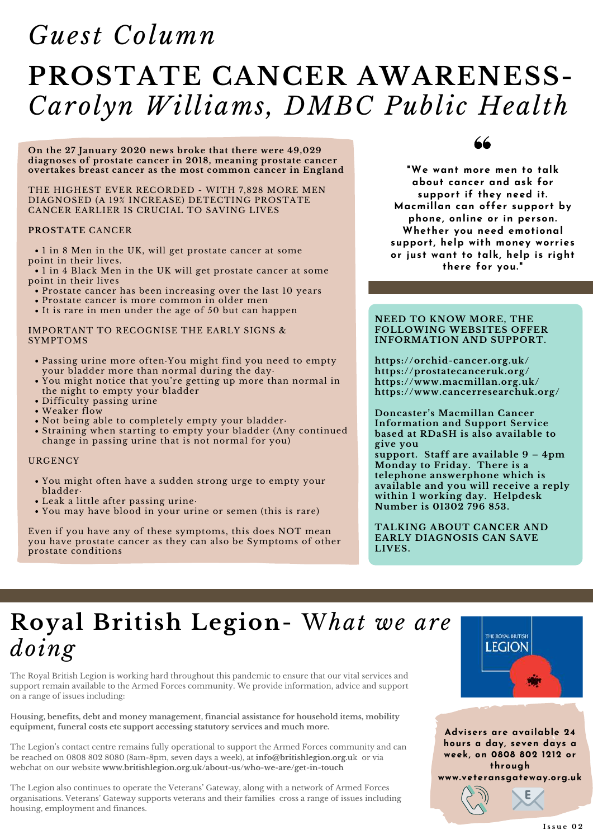# **PROSTATE CANCER AWARENESS-***Carolyn Williams, DMBC Public Health Guest Column*

**On the 27 January 2020 news broke that there were 49,029 diagnoses of prostate cancer in 2018, meaning prostate cancer overtakes breast cancer as the most common cancer in England**

#### THE HIGHEST EVER RECORDED - WITH 7,828 MORE MEN DIAGNOSED (A 19% INCREASE) DETECTING PROSTATE CANCER EARLIER IS CRUCIAL TO SAVING LIVES

#### **PROSTATE** CANCER

1 in 8 Men in the UK, will get prostate cancer at some point in their lives.

1 in 4 Black Men in the UK will get prostate cancer at some point in their lives

- Prostate cancer has been increasing over the last 10 years
- Prostate cancer is more common in older men
- It is rare in men under the age of 50 but can happen

**I**MPORTANT TO RECOGNISE THE EARLY SIGNS & SYMPTOMS

- Passing urine more often·You might find you need to empty your bladder more than normal during the day·
- You might notice that you're getting up more than normal in the night to empty your bladder
- Difficulty passing urine
- Weaker flow
- Not being able to completely empty your bladder·
- Straining when starting to empty your bladder (Any continued change in passing urine that is not normal for you)

#### **URGENCY**

- You might often have a sudden strong urge to empty your bladder·
- Leak a little after passing urine·
- You may have blood in your urine or semen (this is rare)

Even if you have any of these symptoms, this does NOT mean you have prostate cancer as they can also be Symptoms of other prostate conditions

**"We want more men to talk about cancer and ask for support if they need it. Macmillan can offer support by phone, online or in person. Whether you need emotional support, help with money worries or just want to talk, help is right there for you."**

#### **NEED TO KNOW MORE, THE FOLLOWING WEBSITES OFFER INFORMATION AND SUPPORT.**

**https://orchid-cancer.org.uk/ https://prostatecanceruk.org/ https://www.macmillan.org.uk/ https://www.cancerresearchuk.org/**

**Doncaster's Macmillan Cancer Information and Support Service based at RDaSH is also available to give you**

**support. Staff are available 9 – 4pm Monday to Friday. There is a telephone answerphone which is available and you will receive a reply within 1 working day. Helpdesk Number is 01302 796 853.**

**TALKING ABOUT CANCER AND EARLY DIAGNOSIS CAN SAVE LIVES.**

# **Royal British Legion**- W*hat we are doing*

The Royal British Legion is working hard throughout this pandemic to ensure that our vital services and support remain available to the Armed Forces community. We provide information, advice and support on a range of issues including:

H**ousing, benefits, debt and money management, financial assistance for household items, mobility equipment, funeral costs etc support accessing statutory services and much more.**

The Legion ' s contact centre remains fully operational to support the Armed Forces community and can be reached on 0808 802 8080 (8am-8pm, seven days a week), at **info@britishlegion.org.u**k or via webchat on our website **www.britishlegion.org.uk/about-us/who-we-are/get-in-touch**

The Legion also continues to operate the Veterans ' Gateway, along with a network of Armed Forces organisations. Veterans ' Gateway supports veterans and their families cross a range of issues including housing, employment and finances.



**Advisers are available 24 hours a day, seven days a week, on 0808 802 1212 or through www.veteransgateway.org.uk**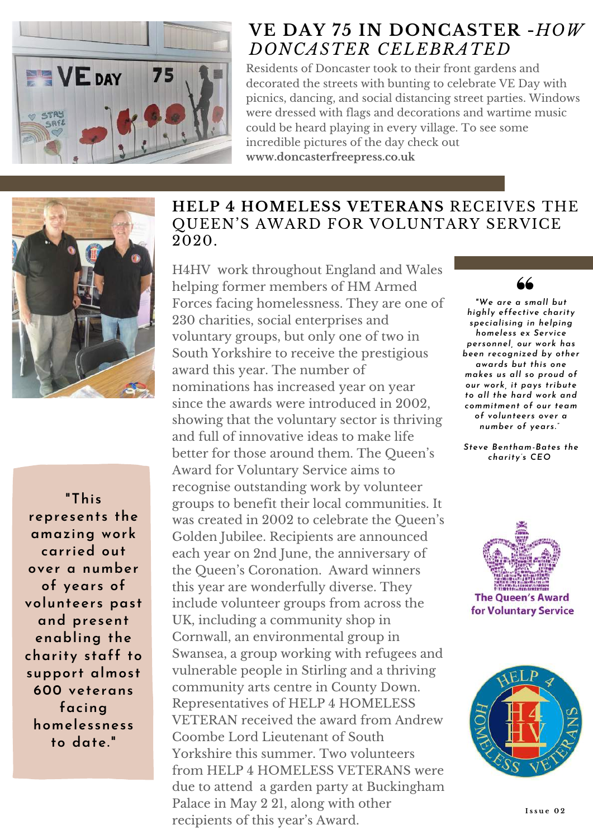

### **VE DAY 75 IN DONCASTER -***HOW DONCASTER CELEBRATED*

Residents of Doncaster took to their front gardens and decorated the streets with bunting to celebrate VE Day with picnics, dancing, and social distancing street parties. Windows were dressed with flags and decorations and wartime music could be heard playing in every village. To see some incredible pictures of the day check out **www.doncasterfreepress.co.uk**



**"This represents the amazing work carried out over a number of years of volunteers past and present enabling the charity staff to support almost 600 veterans facing homelessness to date."**

#### **HELP 4 HOMELESS VETERANS** RECEIVES THE QUEEN'S AWARD FOR VOLUNTARY SERVICE 2020.

H4HV work throughout England and Wales helping former members of HM Armed Forces facing homelessness. They are one of 230 charities, social enterprises and voluntary groups, but only one of two in South Yorkshire to receive the prestigious award this year. The number of nominations has increased year on year since the awards were introduced in 2002, showing that the voluntary sector is thriving and full of innovative ideas to make life better for those around them. The Queen ' s Award for Voluntary Service aims to recognise outstanding work by volunteer groups to benefit their local communities. It was created in 2002 to celebrate the Queen ' s Golden Jubilee. Recipients are announced each year on 2nd June, the anniversary of the Queen ' s Coronation. Award winners this year are wonderfully diverse. They include volunteer groups from across the UK, including a community shop in Cornwall, an environmental group in Swansea, a group working with refugees and vulnerable people in Stirling and a thriving community arts centre in County Down. Representatives of HELP 4 HOMELESS VETERAN received the award from Andrew Coombe Lord Lieutenant of South Yorkshire this summer. Two volunteers from HELP 4 HOMELESS VETERANS were due to attend a garden party at Buckingham Palace in May 2 21, along with other recipients of this year ' s Award.



*"We are a small but highly effective charity specialising in helping homeless ex Service personnel, our work has been recognized by other awards but this one makes us all so proud of our work, it pays tribute to all the hard work and commitment of our team of volunteers over a number of years."*

*Steve Bentham-Bates the charity's CEO*



**The Queen's Award** for Voluntary Service